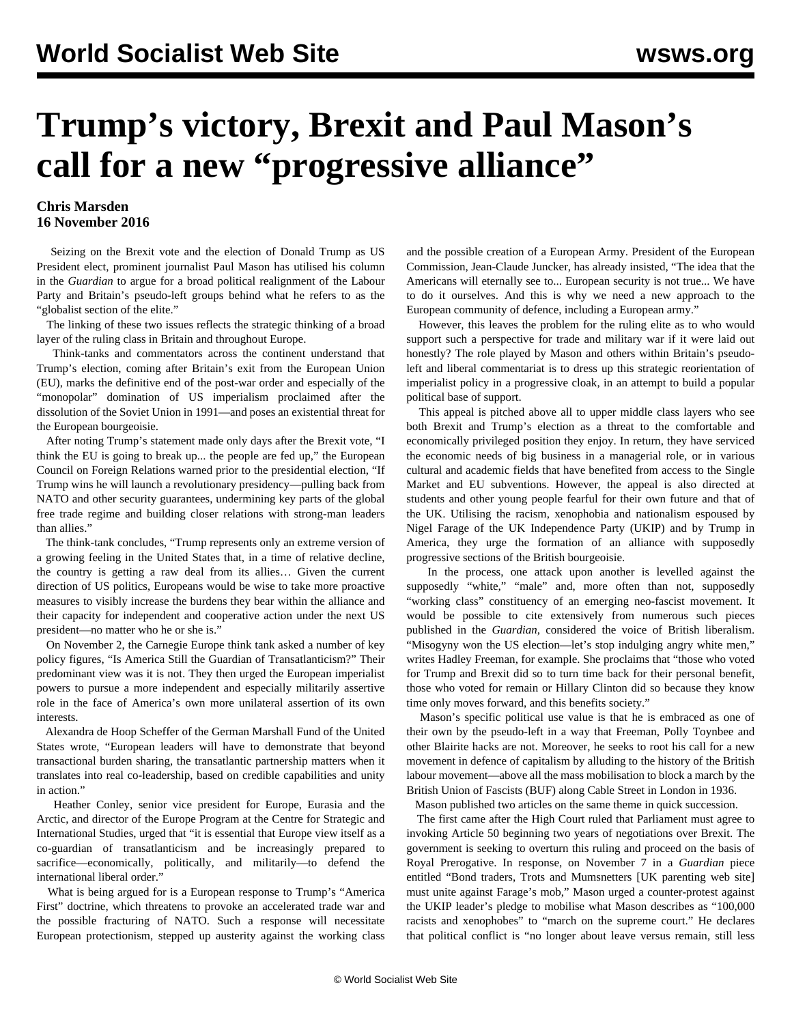## **Trump's victory, Brexit and Paul Mason's call for a new "progressive alliance"**

## **Chris Marsden 16 November 2016**

 Seizing on the Brexit vote and the election of Donald Trump as US President elect, prominent journalist Paul Mason has utilised his column in the *Guardian* to argue for a broad political realignment of the Labour Party and Britain's pseudo-left groups behind what he refers to as the "globalist section of the elite."

 The linking of these two issues reflects the strategic thinking of a broad layer of the ruling class in Britain and throughout Europe.

 Think-tanks and commentators across the continent understand that Trump's election, coming after Britain's exit from the European Union (EU), marks the definitive end of the post-war order and especially of the "monopolar" domination of US imperialism proclaimed after the dissolution of the Soviet Union in 1991—and poses an existential threat for the European bourgeoisie.

 After noting Trump's statement made only days after the Brexit vote, "I think the EU is going to break up... the people are fed up," the European Council on Foreign Relations warned prior to the presidential election, "If Trump wins he will launch a revolutionary presidency—pulling back from NATO and other security guarantees, undermining key parts of the global free trade regime and building closer relations with strong-man leaders than allies."

 The think-tank concludes, "Trump represents only an extreme version of a growing feeling in the United States that, in a time of relative decline, the country is getting a raw deal from its allies… Given the current direction of US politics, Europeans would be wise to take more proactive measures to visibly increase the burdens they bear within the alliance and their capacity for independent and cooperative action under the next US president—no matter who he or she is."

 On November 2, the Carnegie Europe think tank asked a number of key policy figures, "Is America Still the Guardian of Transatlanticism?" Their predominant view was it is not. They then urged the European imperialist powers to pursue a more independent and especially militarily assertive role in the face of America's own more unilateral assertion of its own interests.

 Alexandra de Hoop Scheffer of the German Marshall Fund of the United States wrote, "European leaders will have to demonstrate that beyond transactional burden sharing, the transatlantic partnership matters when it translates into real co-leadership, based on credible capabilities and unity in action."

 Heather Conley, senior vice president for Europe, Eurasia and the Arctic, and director of the Europe Program at the Centre for Strategic and International Studies, urged that "it is essential that Europe view itself as a co-guardian of transatlanticism and be increasingly prepared to sacrifice—economically, politically, and militarily—to defend the international liberal order."

 What is being argued for is a European response to Trump's "America First" doctrine, which threatens to provoke an accelerated trade war and the possible fracturing of NATO. Such a response will necessitate European protectionism, stepped up austerity against the working class

and the possible creation of a European Army. President of the European Commission, Jean-Claude Juncker, has already insisted, "The idea that the Americans will eternally see to... European security is not true... We have to do it ourselves. And this is why we need a new approach to the European community of defence, including a European army."

 However, this leaves the problem for the ruling elite as to who would support such a perspective for trade and military war if it were laid out honestly? The role played by Mason and others within Britain's pseudoleft and liberal commentariat is to dress up this strategic reorientation of imperialist policy in a progressive cloak, in an attempt to build a popular political base of support.

 This appeal is pitched above all to upper middle class layers who see both Brexit and Trump's election as a threat to the comfortable and economically privileged position they enjoy. In return, they have serviced the economic needs of big business in a managerial role, or in various cultural and academic fields that have benefited from access to the Single Market and EU subventions. However, the appeal is also directed at students and other young people fearful for their own future and that of the UK. Utilising the racism, xenophobia and nationalism espoused by Nigel Farage of the UK Independence Party (UKIP) and by Trump in America, they urge the formation of an alliance with supposedly progressive sections of the British bourgeoisie.

 In the process, one attack upon another is levelled against the supposedly "white," "male" and, more often than not, supposedly "working class" constituency of an emerging neo-fascist movement. It would be possible to cite extensively from numerous such pieces published in the *Guardian*, considered the voice of British liberalism. "Misogyny won the US election—let's stop indulging angry white men," writes Hadley Freeman, for example. She proclaims that "those who voted for Trump and Brexit did so to turn time back for their personal benefit, those who voted for remain or Hillary Clinton did so because they know time only moves forward, and this benefits society."

 Mason's specific political use value is that he is embraced as one of their own by the pseudo-left in a way that Freeman, Polly Toynbee and other Blairite hacks are not. Moreover, he seeks to root his call for a new movement in defence of capitalism by alluding to the history of the British labour movement—above all the mass mobilisation to block a march by the British Union of Fascists (BUF) along Cable Street in London in 1936.

Mason published two articles on the same theme in quick succession.

 The first came after the High Court ruled that Parliament must agree to invoking Article 50 beginning two years of negotiations over Brexit. The government is seeking to overturn this ruling and proceed on the basis of Royal Prerogative. In response, on November 7 in a *Guardian* piece entitled "Bond traders, Trots and Mumsnetters [UK parenting web site] must unite against Farage's mob," Mason urged a counter-protest against the UKIP leader's pledge to mobilise what Mason describes as "100,000 racists and xenophobes" to "march on the supreme court." He declares that political conflict is "no longer about leave versus remain, still less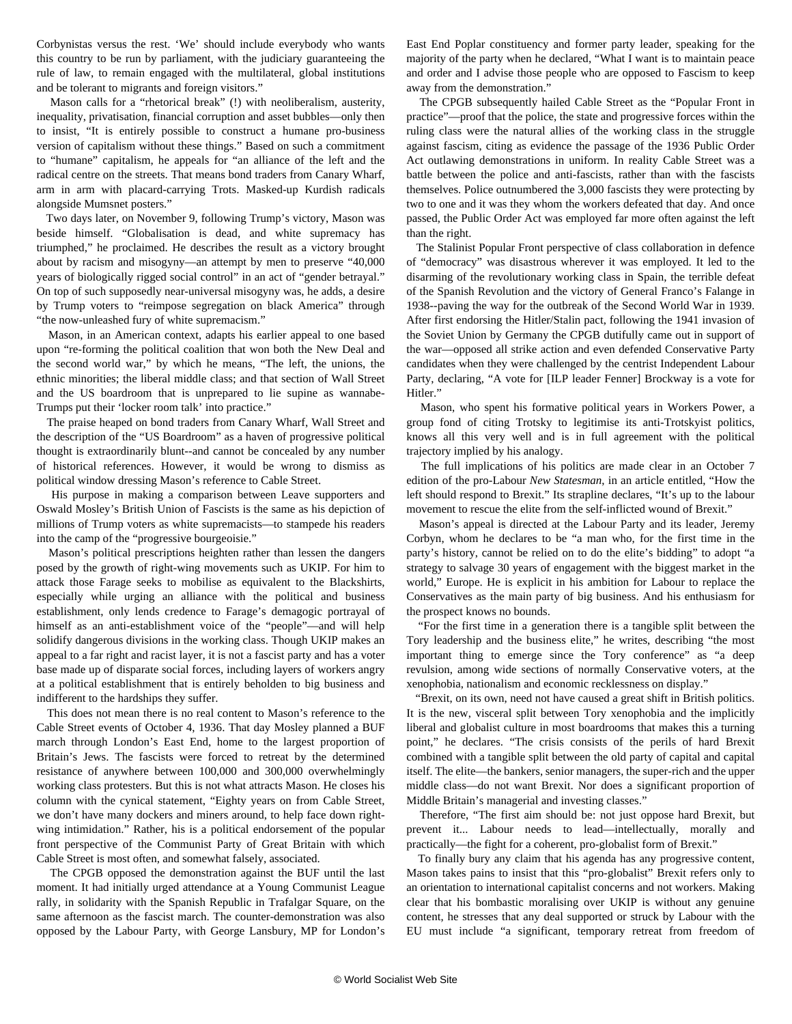Corbynistas versus the rest. 'We' should include everybody who wants this country to be run by parliament, with the judiciary guaranteeing the rule of law, to remain engaged with the multilateral, global institutions and be tolerant to migrants and foreign visitors."

 Mason calls for a "rhetorical break" (!) with neoliberalism, austerity, inequality, privatisation, financial corruption and asset bubbles—only then to insist, "It is entirely possible to construct a humane pro-business version of capitalism without these things." Based on such a commitment to "humane" capitalism, he appeals for "an alliance of the left and the radical centre on the streets. That means bond traders from Canary Wharf, arm in arm with placard-carrying Trots. Masked-up Kurdish radicals alongside Mumsnet posters."

 Two days later, on November 9, following Trump's victory, Mason was beside himself. "Globalisation is dead, and white supremacy has triumphed," he proclaimed. He describes the result as a victory brought about by racism and misogyny—an attempt by men to preserve "40,000 years of biologically rigged social control" in an act of "gender betrayal." On top of such supposedly near-universal misogyny was, he adds, a desire by Trump voters to "reimpose segregation on black America" through "the now-unleashed fury of white supremacism."

 Mason, in an American context, adapts his earlier appeal to one based upon "re-forming the political coalition that won both the New Deal and the second world war," by which he means, "The left, the unions, the ethnic minorities; the liberal middle class; and that section of Wall Street and the US boardroom that is unprepared to lie supine as wannabe-Trumps put their 'locker room talk' into practice."

 The praise heaped on bond traders from Canary Wharf, Wall Street and the description of the "US Boardroom" as a haven of progressive political thought is extraordinarily blunt--and cannot be concealed by any number of historical references. However, it would be wrong to dismiss as political window dressing Mason's reference to Cable Street.

 His purpose in making a comparison between Leave supporters and Oswald Mosley's British Union of Fascists is the same as his depiction of millions of Trump voters as white supremacists—to stampede his readers into the camp of the "progressive bourgeoisie."

 Mason's political prescriptions heighten rather than lessen the dangers posed by the growth of right-wing movements such as UKIP. For him to attack those Farage seeks to mobilise as equivalent to the Blackshirts, especially while urging an alliance with the political and business establishment, only lends credence to Farage's demagogic portrayal of himself as an anti-establishment voice of the "people"—and will help solidify dangerous divisions in the working class. Though UKIP makes an appeal to a far right and racist layer, it is not a fascist party and has a voter base made up of disparate social forces, including layers of workers angry at a political establishment that is entirely beholden to big business and indifferent to the hardships they suffer.

 This does not mean there is no real content to Mason's reference to the Cable Street events of October 4, 1936. That day Mosley planned a BUF march through London's East End, home to the largest proportion of Britain's Jews. The fascists were forced to retreat by the determined resistance of anywhere between 100,000 and 300,000 overwhelmingly working class protesters. But this is not what attracts Mason. He closes his column with the cynical statement, "Eighty years on from Cable Street, we don't have many dockers and miners around, to help face down rightwing intimidation." Rather, his is a political endorsement of the popular front perspective of the Communist Party of Great Britain with which Cable Street is most often, and somewhat falsely, associated.

 The CPGB opposed the demonstration against the BUF until the last moment. It had initially urged attendance at a Young Communist League rally, in solidarity with the Spanish Republic in Trafalgar Square, on the same afternoon as the fascist march. The counter-demonstration was also opposed by the Labour Party, with George Lansbury, MP for London's

East End Poplar constituency and former party leader, speaking for the majority of the party when he declared, "What I want is to maintain peace and order and I advise those people who are opposed to Fascism to keep away from the demonstration."

 The CPGB subsequently hailed Cable Street as the "Popular Front in practice"—proof that the police, the state and progressive forces within the ruling class were the natural allies of the working class in the struggle against fascism, citing as evidence the passage of the 1936 Public Order Act outlawing demonstrations in uniform. In reality Cable Street was a battle between the police and anti-fascists, rather than with the fascists themselves. Police outnumbered the 3,000 fascists they were protecting by two to one and it was they whom the workers defeated that day. And once passed, the Public Order Act was employed far more often against the left than the right.

 The Stalinist Popular Front perspective of class collaboration in defence of "democracy" was disastrous wherever it was employed. It led to the disarming of the revolutionary working class in Spain, the terrible defeat of the Spanish Revolution and the victory of General Franco's Falange in 1938--paving the way for the outbreak of the Second World War in 1939. After first endorsing the Hitler/Stalin pact, following the 1941 invasion of the Soviet Union by Germany the CPGB dutifully came out in support of the war—opposed all strike action and even defended Conservative Party candidates when they were challenged by the centrist Independent Labour Party, declaring, "A vote for [ILP leader Fenner] Brockway is a vote for Hitler."

 Mason, who spent his formative political years in Workers Power, a group fond of citing Trotsky to legitimise its anti-Trotskyist politics, knows all this very well and is in full agreement with the political trajectory implied by his analogy.

 The full implications of his politics are made clear in an October 7 edition of the pro-Labour *New Statesman*, in an article entitled, "How the left should respond to Brexit." Its strapline declares, "It's up to the labour movement to rescue the elite from the self-inflicted wound of Brexit."

 Mason's appeal is directed at the Labour Party and its leader, Jeremy Corbyn, whom he declares to be "a man who, for the first time in the party's history, cannot be relied on to do the elite's bidding" to adopt "a strategy to salvage 30 years of engagement with the biggest market in the world," Europe. He is explicit in his ambition for Labour to replace the Conservatives as the main party of big business. And his enthusiasm for the prospect knows no bounds.

 "For the first time in a generation there is a tangible split between the Tory leadership and the business elite," he writes, describing "the most important thing to emerge since the Tory conference" as "a deep revulsion, among wide sections of normally Conservative voters, at the xenophobia, nationalism and economic recklessness on display."

 "Brexit, on its own, need not have caused a great shift in British politics. It is the new, visceral split between Tory xenophobia and the implicitly liberal and globalist culture in most boardrooms that makes this a turning point," he declares. "The crisis consists of the perils of hard Brexit combined with a tangible split between the old party of capital and capital itself. The elite—the bankers, senior managers, the super-rich and the upper middle class—do not want Brexit. Nor does a significant proportion of Middle Britain's managerial and investing classes."

 Therefore, "The first aim should be: not just oppose hard Brexit, but prevent it... Labour needs to lead—intellectually, morally and practically—the fight for a coherent, pro-globalist form of Brexit."

 To finally bury any claim that his agenda has any progressive content, Mason takes pains to insist that this "pro-globalist" Brexit refers only to an orientation to international capitalist concerns and not workers. Making clear that his bombastic moralising over UKIP is without any genuine content, he stresses that any deal supported or struck by Labour with the EU must include "a significant, temporary retreat from freedom of